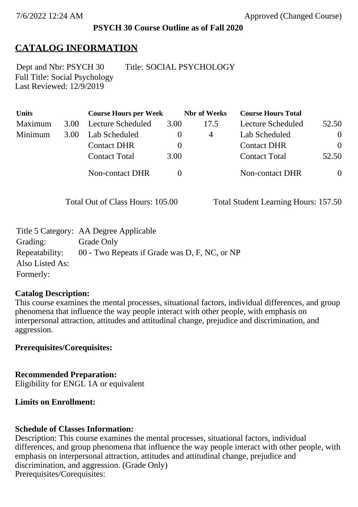### **PSYCH 30 Course Outline as of Fall 2020**

## **CATALOG INFORMATION**

Full Title: Social Psychology Last Reviewed: 12/9/2019 Dept and Nbr: PSYCH 30 Title: SOCIAL PSYCHOLOGY

| <b>Units</b> |      | <b>Course Hours per Week</b> |          | <b>Nbr</b> of Weeks | <b>Course Hours Total</b> |                |
|--------------|------|------------------------------|----------|---------------------|---------------------------|----------------|
| Maximum      | 3.00 | Lecture Scheduled            | 3.00     | 17.5                | Lecture Scheduled         | 52.50          |
| Minimum      | 3.00 | Lab Scheduled                | $\bf{0}$ | 4                   | Lab Scheduled             | $\overline{0}$ |
|              |      | <b>Contact DHR</b>           | $\theta$ |                     | <b>Contact DHR</b>        | $\Omega$       |
|              |      | <b>Contact Total</b>         | 3.00     |                     | <b>Contact Total</b>      | 52.50          |
|              |      | Non-contact DHR              |          |                     | Non-contact DHR           | $\overline{0}$ |

Total Out of Class Hours: 105.00 Total Student Learning Hours: 157.50

|                 | Title 5 Category: AA Degree Applicable        |
|-----------------|-----------------------------------------------|
| Grading:        | Grade Only                                    |
| Repeatability:  | 00 - Two Repeats if Grade was D, F, NC, or NP |
| Also Listed As: |                                               |
| Formerly:       |                                               |

### **Catalog Description:**

This course examines the mental processes, situational factors, individual differences, and group phenomena that influence the way people interact with other people, with emphasis on interpersonal attraction, attitudes and attitudinal change, prejudice and discrimination, and aggression.

## **Prerequisites/Corequisites:**

**Recommended Preparation:** Eligibility for ENGL 1A or equivalent

### **Limits on Enrollment:**

### **Schedule of Classes Information:**

Description: This course examines the mental processes, situational factors, individual differences, and group phenomena that influence the way people interact with other people, with emphasis on interpersonal attraction, attitudes and attitudinal change, prejudice and discrimination, and aggression. (Grade Only) Prerequisites/Corequisites: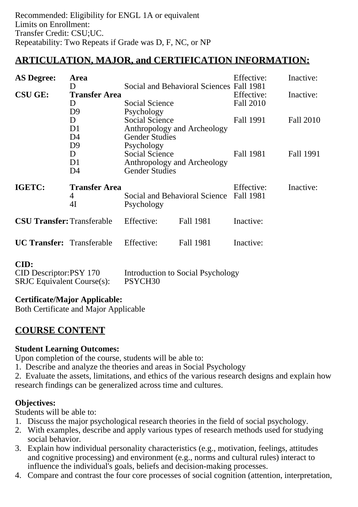# **ARTICULATION, MAJOR, and CERTIFICATION INFORMATION:**

| <b>AS Degree:</b><br>Area                                           |                                 |                                                              |                                          | Effective:                    | Inactive:        |
|---------------------------------------------------------------------|---------------------------------|--------------------------------------------------------------|------------------------------------------|-------------------------------|------------------|
| <b>CSU GE:</b>                                                      | D<br><b>Transfer Area</b>       |                                                              | Social and Behavioral Sciences Fall 1981 | Effective:                    | Inactive:        |
|                                                                     | D                               | <b>Social Science</b><br>Psychology<br><b>Social Science</b> |                                          | <b>Fall 2010</b><br>Fall 1991 | <b>Fall 2010</b> |
|                                                                     | D <sub>9</sub>                  |                                                              |                                          |                               |                  |
|                                                                     | D                               |                                                              |                                          |                               |                  |
|                                                                     | D <sub>1</sub>                  | Anthropology and Archeology                                  |                                          | Fall 1981                     | Fall 1991        |
|                                                                     | D4                              | <b>Gender Studies</b>                                        |                                          |                               |                  |
|                                                                     | D <sub>9</sub>                  | Psychology                                                   |                                          |                               |                  |
|                                                                     | D                               | <b>Social Science</b>                                        |                                          |                               |                  |
|                                                                     | D1                              | Anthropology and Archeology                                  |                                          |                               |                  |
|                                                                     | D4                              | <b>Gender Studies</b>                                        |                                          |                               |                  |
| IGETC:                                                              | <b>Transfer Area</b><br>4<br>4I | Social and Behavioral Science Fall 1981<br>Psychology        |                                          | Effective:                    | Inactive:        |
| <b>CSU Transfer: Transferable</b>                                   |                                 | Effective:                                                   | Fall 1981                                | Inactive:                     |                  |
| <b>UC Transfer:</b> Transferable                                    |                                 | Effective:                                                   | Fall 1981                                | Inactive:                     |                  |
| CID:<br>CID Descriptor:PSY 170<br><b>SRJC</b> Equivalent Course(s): |                                 | Introduction to Social Psychology<br>PSYCH <sub>30</sub>     |                                          |                               |                  |

## **Certificate/Major Applicable:**

[Both Certificate and Major Applicable](SR_ClassCheck.aspx?CourseKey=PSYCH30)

## **COURSE CONTENT**

### **Student Learning Outcomes:**

Upon completion of the course, students will be able to:

- 1. Describe and analyze the theories and areas in Social Psychology
- 2. Evaluate the assets, limitations, and ethics of the various research designs and explain how research findings can be generalized across time and cultures.

## **Objectives:**

Students will be able to:

- 1. Discuss the major psychological research theories in the field of social psychology.
- 2. With examples, describe and apply various types of research methods used for studying social behavior.
- 3. Explain how individual personality characteristics (e.g., motivation, feelings, attitudes and cognitive processing) and environment (e.g., norms and cultural rules) interact to influence the individual's goals, beliefs and decision-making processes.
- 4. Compare and contrast the four core processes of social cognition (attention, interpretation,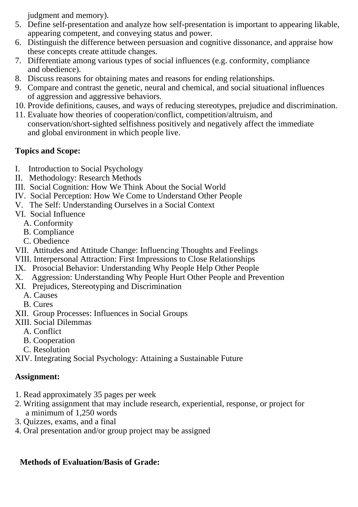judgment and memory).

- 5. Define self-presentation and analyze how self-presentation is important to appearing likable, appearing competent, and conveying status and power.
- 6. Distinguish the difference between persuasion and cognitive dissonance, and appraise how these concepts create attitude changes.
- 7. Differentiate among various types of social influences (e.g. conformity, compliance and obedience).
- 8. Discuss reasons for obtaining mates and reasons for ending relationships.
- 9. Compare and contrast the genetic, neural and chemical, and social situational influences of aggression and aggressive behaviors.
- 10. Provide definitions, causes, and ways of reducing stereotypes, prejudice and discrimination.
- 11. Evaluate how theories of cooperation/conflict, competition/altruism, and conservation/short-sighted selfishness positively and negatively affect the immediate and global environment in which people live.

## **Topics and Scope:**

- I. Introduction to Social Psychology
- II. Methodology: Research Methods
- III. Social Cognition: How We Think About the Social World
- IV. Social Perception: How We Come to Understand Other People
- V. The Self: Understanding Ourselves in a Social Context
- VI. Social Influence
	- A. Conformity
	- B. Compliance
	- C. Obedience
- VII. Attitudes and Attitude Change: Influencing Thoughts and Feelings
- VIII. Interpersonal Attraction: First Impressions to Close Relationships
- IX. Prosocial Behavior: Understanding Why People Help Other People
- X. Aggression: Understanding Why People Hurt Other People and Prevention
- XI. Prejudices, Stereotyping and Discrimination
	- A. Causes
	- B. Cures
- XII. Group Processes: Influences in Social Groups
- XIII. Social Dilemmas
	- A. Conflict
	- B. Cooperation
	- C. Resolution

XIV. Integrating Social Psychology: Attaining a Sustainable Future

## **Assignment:**

- 1. Read approximately 35 pages per week
- 2. Writing assignment that may include research, experiential, response, or project for a minimum of 1,250 words
- 3. Quizzes, exams, and a final
- 4. Oral presentation and/or group project may be assigned

## **Methods of Evaluation/Basis of Grade:**